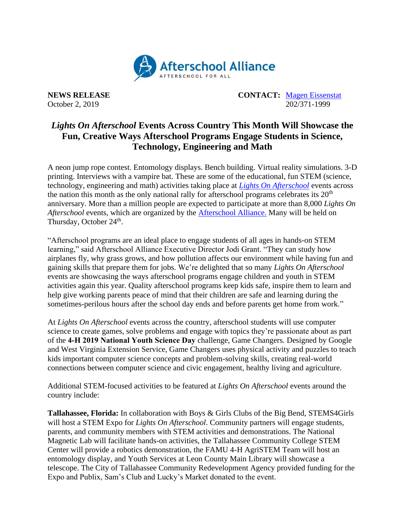

**NEWS RELEASE CONTACT:** [Magen Eissenstat](mailto:magen@prsolutionsdc.com) October 2, 2019 202/371-1999

## *Lights On Afterschool* **Events Across Country This Month Will Showcase the Fun, Creative Ways Afterschool Programs Engage Students in Science, Technology, Engineering and Math**

A neon jump rope contest. Entomology displays. Bench building. Virtual reality simulations. 3-D printing. Interviews with a vampire bat. These are some of the educational, fun STEM (science, technology, engineering and math) activities taking place at *[Lights On Afterschool](http://www.afterschoolalliance.org/loa.cfm)* events across the nation this month as the only national rally for afterschool programs celebrates its  $20<sup>th</sup>$ anniversary. More than a million people are expected to participate at more than 8,000 *Lights On Afterschool* events, which are organized by the [Afterschool Alliance.](http://www.afterschoolalliance.org/) Many will be held on Thursday, October 24<sup>th</sup>.

"Afterschool programs are an ideal place to engage students of all ages in hands-on STEM learning," said Afterschool Alliance Executive Director Jodi Grant. "They can study how airplanes fly, why grass grows, and how pollution affects our environment while having fun and gaining skills that prepare them for jobs. We're delighted that so many *Lights On Afterschool* events are showcasing the ways afterschool programs engage children and youth in STEM activities again this year. Quality afterschool programs keep kids safe, inspire them to learn and help give working parents peace of mind that their children are safe and learning during the sometimes-perilous hours after the school day ends and before parents get home from work."

At *Lights On Afterschool* events across the country, afterschool students will use computer science to create games, solve problems and engage with topics they're passionate about as part of the **4‑H 2019 National Youth Science Day** challenge, Game Changers. Designed by Google and West Virginia Extension Service, Game Changers uses physical activity and puzzles to teach kids important computer science concepts and problem-solving skills, creating real-world connections between computer science and civic engagement, healthy living and agriculture.

Additional STEM-focused activities to be featured at *Lights On Afterschool* events around the country include:

**Tallahassee, Florida:** In collaboration with Boys & Girls Clubs of the Big Bend, STEMS4Girls will host a STEM Expo for *Lights On Afterschool*. Community partners will engage students, parents, and community members with STEM activities and demonstrations. The National Magnetic Lab will facilitate hands-on activities, the Tallahassee Community College STEM Center will provide a robotics demonstration, the FAMU 4-H AgriSTEM Team will host an entomology display, and Youth Services at Leon County Main Library will showcase a telescope. The City of Tallahassee Community Redevelopment Agency provided funding for the Expo and Publix, Sam's Club and Lucky's Market donated to the event.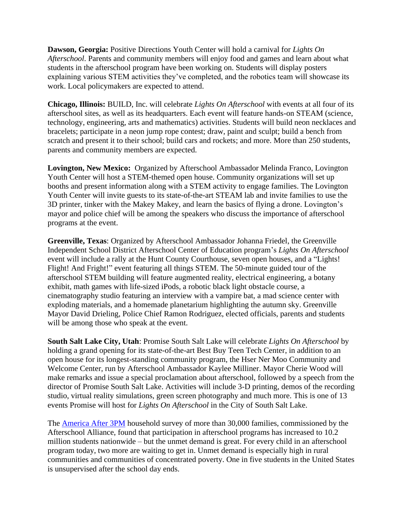**Dawson, Georgia:** Positive Directions Youth Center will hold a carnival for *Lights On Afterschool*. Parents and community members will enjoy food and games and learn about what students in the afterschool program have been working on. Students will display posters explaining various STEM activities they've completed, and the robotics team will showcase its work. Local policymakers are expected to attend.

**Chicago, Illinois:** BUILD, Inc. will celebrate *Lights On Afterschool* with events at all four of its afterschool sites, as well as its headquarters. Each event will feature hands-on STEAM (science, technology, engineering, arts and mathematics) activities. Students will build neon necklaces and bracelets; participate in a neon jump rope contest; draw, paint and sculpt; build a bench from scratch and present it to their school; build cars and rockets; and more. More than 250 students, parents and community members are expected.

**Lovington, New Mexico:** Organized by Afterschool Ambassador Melinda Franco, Lovington Youth Center will host a STEM-themed open house. Community organizations will set up booths and present information along with a STEM activity to engage families. The Lovington Youth Center will invite guests to its state-of-the-art STEAM lab and invite families to use the 3D printer, tinker with the Makey Makey, and learn the basics of flying a drone. Lovington's mayor and police chief will be among the speakers who discuss the importance of afterschool programs at the event.

**Greenville, Texas**: Organized by Afterschool Ambassador Johanna Friedel, the Greenville Independent School District Afterschool Center of Education program's *Lights On Afterschool* event will include a rally at the Hunt County Courthouse, seven open houses, and a "Lights! Flight! And Fright!" event featuring all things STEM. The 50-minute guided tour of the afterschool STEM building will feature augmented reality, electrical engineering, a botany exhibit, math games with life-sized iPods, a robotic black light obstacle course, a cinematography studio featuring an interview with a vampire bat, a mad science center with exploding materials, and a homemade planetarium highlighting the autumn sky. Greenville Mayor David Drieling, Police Chief Ramon Rodriguez, elected officials, parents and students will be among those who speak at the event.

**South Salt Lake City, Utah**: Promise South Salt Lake will celebrate *Lights On Afterschool* by holding a grand opening for its state-of-the-art Best Buy Teen Tech Center, in addition to an open house for its longest-standing community program, the Hser Ner Moo Community and Welcome Center, run by Afterschool Ambassador Kaylee Milliner. Mayor Cherie Wood will make remarks and issue a special proclamation about afterschool, followed by a speech from the director of Promise South Salt Lake. Activities will include 3-D printing, demos of the recording studio, virtual reality simulations, green screen photography and much more. This is one of 13 events Promise will host for *Lights On Afterschool* in the City of South Salt Lake.

The [America After 3PM](http://www.afterschoolalliance.org/AA3PM/) household survey of more than 30,000 families, commissioned by the Afterschool Alliance, found that participation in afterschool programs has increased to 10.2 million students nationwide – but the unmet demand is great. For every child in an afterschool program today, two more are waiting to get in. Unmet demand is especially high in rural communities and communities of concentrated poverty. One in five students in the United States is unsupervised after the school day ends.